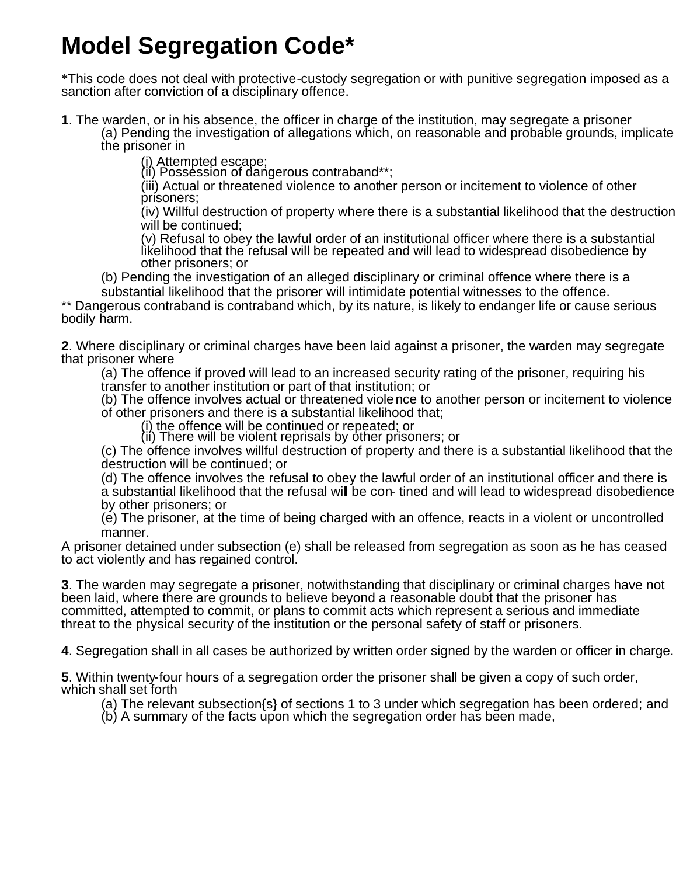# **Model Segregation Code\***

\*This code does not deal with protective-custody segregation or with punitive segregation imposed as a sanction after conviction of a disciplinary offence.

**1**. The warden, or in his absence, the officer in charge of the institution, may segregate a prisoner

(a) Pending the investigation of allegations which, on reasonable and probable grounds, implicate the prisoner in

(i) Attempted escape;

(ii) Possession of dangerous contraband\*\*;

(iii) Actual or threatened violence to another person or incitement to violence of other prisoners;

(iv) Willful destruction of property where there is a substantial likelihood that the destruction will be continued;

(v) Refusal to obey the lawful order of an institutional officer where there is a substantial likelihood that the refusal will be repeated and will lead to widespread disobedience by other prisoners; or

(b) Pending the investigation of an alleged disciplinary or criminal offence where there is a

substantial likelihood that the prisoner will intimidate potential witnesses to the offence. \*\* Dangerous contraband is contraband which, by its nature, is likely to endanger life or cause serious bodily harm.

**2**. Where disciplinary or criminal charges have been laid against a prisoner, the warden may segregate that prisoner where

(a) The offence if proved will lead to an increased security rating of the prisoner, requiring his transfer to another institution or part of that institution; or

(b) The offence involves actual or threatened violence to another person or incitement to violence of other prisoners and there is a substantial likelihood that;

(i) the offence will be continued or repeated; or

(ii) There will be violent reprisals by other prisoners; or

(c) The offence involves willful destruction of property and there is a substantial likelihood that the destruction will be continued; or

(d) The offence involves the refusal to obey the lawful order of an institutional officer and there is a substantial likelihood that the refusal will be con- tined and will lead to widespread disobedience by other prisoners; or

(e) The prisoner, at the time of being charged with an offence, reacts in a violent or uncontrolled manner.

A prisoner detained under subsection (e) shall be released from segregation as soon as he has ceased to act violently and has regained control.

**3**. The warden may segregate a prisoner, notwithstanding that disciplinary or criminal charges have not been laid, where there are grounds to believe beyond a reasonable doubt that the prisoner has committed, attempted to commit, or plans to commit acts which represent a serious and immediate threat to the physical security of the institution or the personal safety of staff or prisoners.

**4**. Segregation shall in all cases be authorized by written order signed by the warden or officer in charge.

**5**. Within twenty-four hours of a segregation order the prisoner shall be given a copy of such order, which shall set forth

(a) The relevant subsection{s} of sections 1 to 3 under which segregation has been ordered; and

(b) A summary of the facts upon which the segregation order has been made,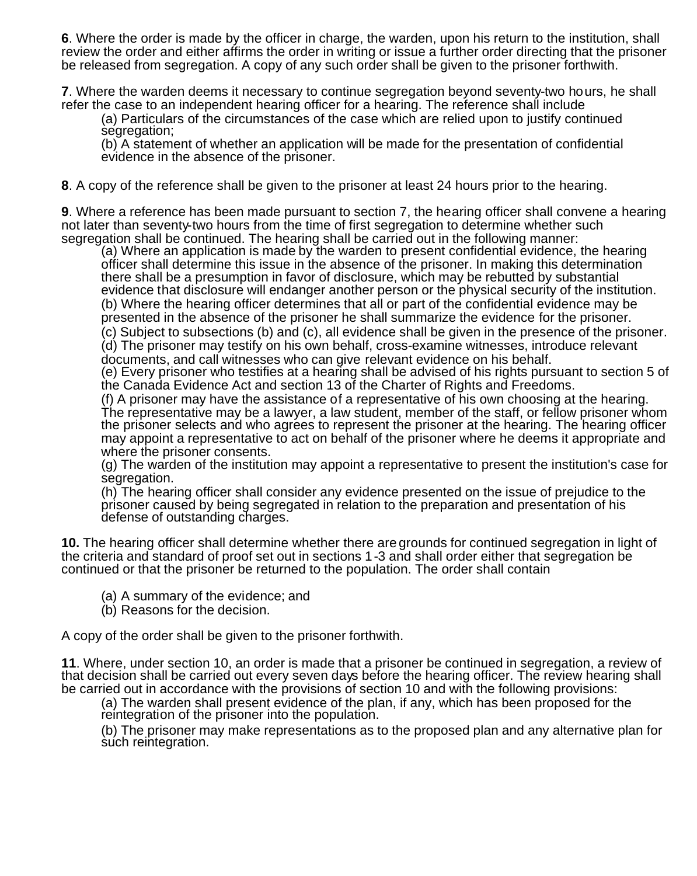**6**. Where the order is made by the officer in charge, the warden, upon his return to the institution, shall review the order and either affirms the order in writing or issue a further order directing that the prisoner be released from segregation. A copy of any such order shall be given to the prisoner forthwith.

**7**. Where the warden deems it necessary to continue segregation beyond seventy-two hours, he shall refer the case to an independent hearing officer for a hearing. The reference shall include

(a) Particulars of the circumstances of the case which are relied upon to justify continued segregation;

(b) A statement of whether an application will be made for the presentation of confidential evidence in the absence of the prisoner.

**8**. A copy of the reference shall be given to the prisoner at least 24 hours prior to the hearing.

**9**. Where a reference has been made pursuant to section 7, the hearing officer shall convene a hearing not later than seventy-two hours from the time of first segregation to determine whether such segregation shall be continued. The hearing shall be carried out in the following manner:

(a) Where an application is made by the warden to present confidential evidence, the hearing officer shall determine this issue in the absence of the prisoner. In making this determination there shall be a presumption in favor of disclosure, which may be rebutted by substantial evidence that disclosure will endanger another person or the physical security of the institution. (b) Where the hearing officer determines that all or part of the confidential evidence may be presented in the absence of the prisoner he shall summarize the evidence for the prisoner.

(c) Subject to subsections (b) and (c), all evidence shall be given in the presence of the prisoner. (d) The prisoner may testify on his own behalf, cross-examine witnesses, introduce relevant documents, and call witnesses who can give relevant evidence on his behalf.

(e) Every prisoner who testifies at a hearing shall be advised of his rights pursuant to section 5 of the Canada Evidence Act and section 13 of the Charter of Rights and Freedoms.

(f) A prisoner may have the assistance of a representative of his own choosing at the hearing. The representative may be a lawyer, a law student, member of the staff, or fellow prisoner whom the prisoner selects and who agrees to represent the prisoner at the hearing. The hearing officer may appoint a representative to act on behalf of the prisoner where he deems it appropriate and where the prisoner consents.

(g) The warden of the institution may appoint a representative to present the institution's case for segregation.

(h) The hearing officer shall consider any evidence presented on the issue of prejudice to the prisoner caused by being segregated in relation to the preparation and presentation of his defense of outstanding charges.

**10.** The hearing officer shall determine whether there are grounds for continued segregation in light of the criteria and standard of proof set out in sections 1-3 and shall order either that segregation be continued or that the prisoner be returned to the population. The order shall contain

- (a) A summary of the evidence; and
- (b) Reasons for the decision.

A copy of the order shall be given to the prisoner forthwith.

**11**. Where, under section 10, an order is made that a prisoner be continued in segregation, a review of that decision shall be carried out every seven days before the hearing officer. The review hearing shall be carried out in accordance with the provisions of section 10 and with the following provisions:

(a) The warden shall present evidence of the plan, if any, which has been proposed for the reintegration of the prisoner into the population.

(b) The prisoner may make representations as to the proposed plan and any alternative plan for such reintegration.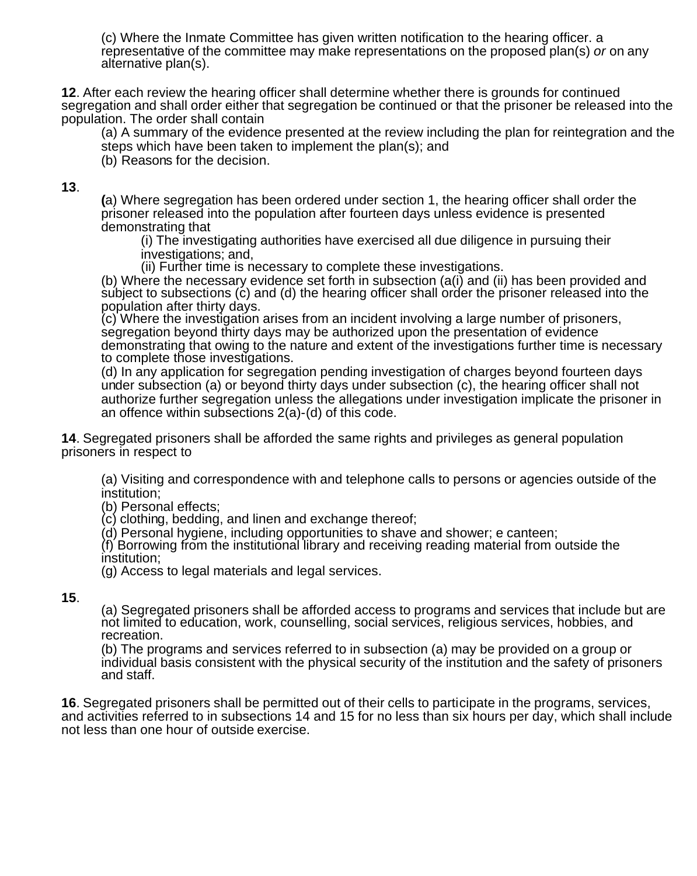(c) Where the Inmate Committee has given written notification to the hearing officer. a representative of the committee may make representations on the proposed plan(s) *or* on any alternative plan(s).

**12**. After each review the hearing officer shall determine whether there is grounds for continued segregation and shall order either that segregation be continued or that the prisoner be released into the population. The order shall contain

(a) A summary of the evidence presented at the review including the plan for reintegration and the steps which have been taken to implement the plan(s); and

(b) Reasons for the decision.

# **13**.

**(**a) Where segregation has been ordered under section 1, the hearing officer shall order the prisoner released into the population after fourteen days unless evidence is presented demonstrating that

(i) The investigating authorities have exercised all due diligence in pursuing their investigations; and,

(ii) Further time is necessary to complete these investigations.

(b) Where the necessary evidence set forth in subsection (a(i) and (ii) has been provided and subject to subsections (c) and (d) the hearing officer shall order the prisoner released into the population after thirty days.

(c) Where the investigation arises from an incident involving a large number of prisoners, segregation beyond thirty days may be authorized upon the presentation of evidence demonstrating that owing to the nature and extent of the investigations further time is necessary to complete those investigations.

(d) In any application for segregation pending investigation of charges beyond fourteen days under subsection (a) or beyond thirty days under subsection (c), the hearing officer shall not authorize further segregation unless the allegations under investigation implicate the prisoner in an offence within subsections 2(a)-(d) of this code.

**14**. Segregated prisoners shall be afforded the same rights and privileges as general population prisoners in respect to

(a) Visiting and correspondence with and telephone calls to persons or agencies outside of the institution;

(b) Personal effects;

(c) clothing, bedding, and linen and exchange thereof;

(d) Personal hygiene, including opportunities to shave and shower; e canteen;

(f) Borrowing from the institutional library and receiving reading material from outside the institution;

(g) Access to legal materials and legal services.

### **15**.

(a) Segregated prisoners shall be afforded access to programs and services that include but are not limited to education, work, counselling, social services, religious services, hobbies, and recreation.

(b) The programs and services referred to in subsection (a) may be provided on a group or individual basis consistent with the physical security of the institution and the safety of prisoners and staff.

**16**. Segregated prisoners shall be permitted out of their cells to participate in the programs, services, and activities referred to in subsections 14 and 15 for no less than six hours per day, which shall include not less than one hour of outside exercise.